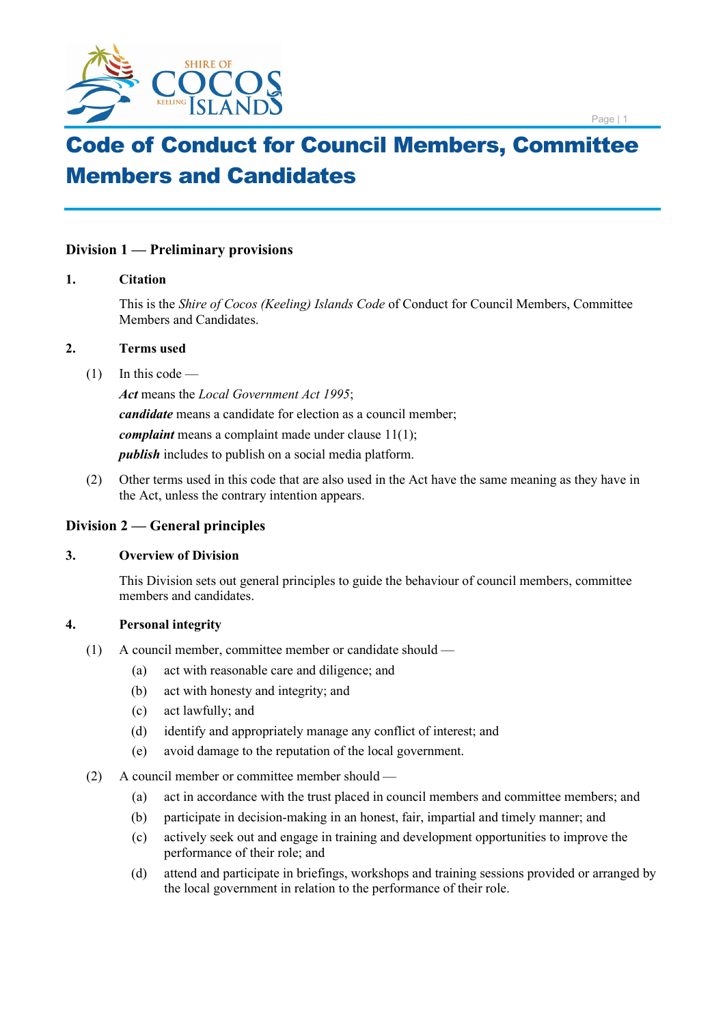

# Code of Conduct for Council Members, Committee Members and Candidates

# **Division 1 — Preliminary provisions**

# **1. Citation**

This is the *Shire of Cocos (Keeling) Islands Code* of Conduct for Council Members, Committee Members and Candidates.

# **2. Terms used**

 $(1)$  In this code —

*Act* means the *Local Government Act 1995*; *candidate* means a candidate for election as a council member; *complaint* means a complaint made under clause 11(1); *publish* includes to publish on a social media platform.

(2) Other terms used in this code that are also used in the Act have the same meaning as they have in the Act, unless the contrary intention appears.

# **Division 2 — General principles**

# **3. Overview of Division**

This Division sets out general principles to guide the behaviour of council members, committee members and candidates.

# **4. Personal integrity**

- (1) A council member, committee member or candidate should
	- (a) act with reasonable care and diligence; and
	- (b) act with honesty and integrity; and
	- (c) act lawfully; and
	- (d) identify and appropriately manage any conflict of interest; and
	- (e) avoid damage to the reputation of the local government.
- (2) A council member or committee member should
	- (a) act in accordance with the trust placed in council members and committee members; and
	- (b) participate in decision-making in an honest, fair, impartial and timely manner; and
	- (c) actively seek out and engage in training and development opportunities to improve the performance of their role; and
	- (d) attend and participate in briefings, workshops and training sessions provided or arranged by the local government in relation to the performance of their role.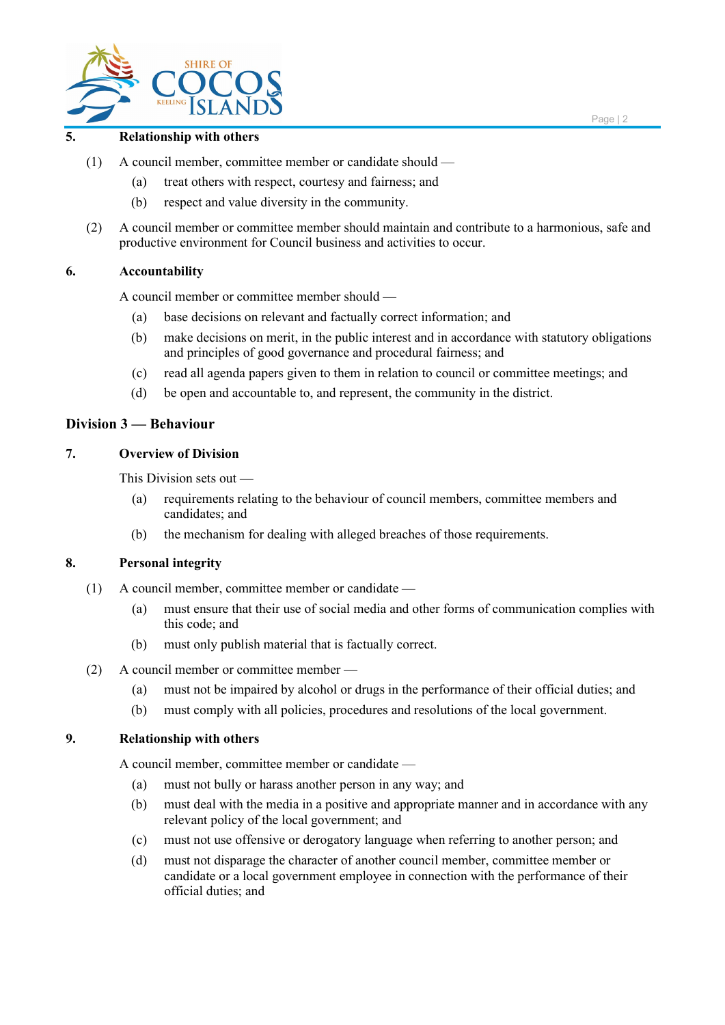

#### **5. Relationship with others**

- (1) A council member, committee member or candidate should
	- (a) treat others with respect, courtesy and fairness; and
	- (b) respect and value diversity in the community.
- (2) A council member or committee member should maintain and contribute to a harmonious, safe and productive environment for Council business and activities to occur.

# **6. Accountability**

A council member or committee member should —

- (a) base decisions on relevant and factually correct information; and
- (b) make decisions on merit, in the public interest and in accordance with statutory obligations and principles of good governance and procedural fairness; and
- (c) read all agenda papers given to them in relation to council or committee meetings; and
- (d) be open and accountable to, and represent, the community in the district.

# **Division 3 — Behaviour**

# **7. Overview of Division**

This Division sets out —

- (a) requirements relating to the behaviour of council members, committee members and candidates; and
- (b) the mechanism for dealing with alleged breaches of those requirements.

# **8. Personal integrity**

- (1) A council member, committee member or candidate
	- (a) must ensure that their use of social media and other forms of communication complies with this code; and
	- (b) must only publish material that is factually correct.
- (2) A council member or committee member
	- (a) must not be impaired by alcohol or drugs in the performance of their official duties; and
	- (b) must comply with all policies, procedures and resolutions of the local government.

# **9. Relationship with others**

A council member, committee member or candidate —

- (a) must not bully or harass another person in any way; and
- (b) must deal with the media in a positive and appropriate manner and in accordance with any relevant policy of the local government; and
- (c) must not use offensive or derogatory language when referring to another person; and
- (d) must not disparage the character of another council member, committee member or candidate or a local government employee in connection with the performance of their official duties; and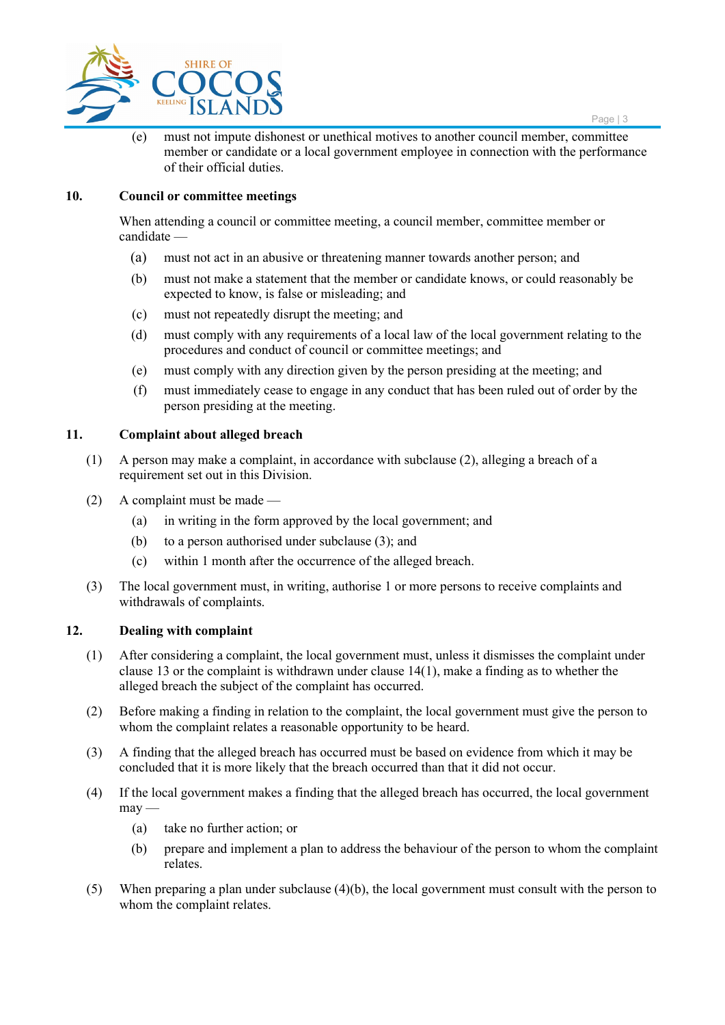



(e) must not impute dishonest or unethical motives to another council member, committee member or candidate or a local government employee in connection with the performance of their official duties.

# **10. Council or committee meetings**

When attending a council or committee meeting, a council member, committee member or candidate —

- (a) must not act in an abusive or threatening manner towards another person; and
- (b) must not make a statement that the member or candidate knows, or could reasonably be expected to know, is false or misleading; and
- (c) must not repeatedly disrupt the meeting; and
- (d) must comply with any requirements of a local law of the local government relating to the procedures and conduct of council or committee meetings; and
- (e) must comply with any direction given by the person presiding at the meeting; and
- (f) must immediately cease to engage in any conduct that has been ruled out of order by the person presiding at the meeting.

# **11. Complaint about alleged breach**

- (1) A person may make a complaint, in accordance with subclause (2), alleging a breach of a requirement set out in this Division.
- (2) A complaint must be made
	- (a) in writing in the form approved by the local government; and
	- (b) to a person authorised under subclause (3); and
	- (c) within 1 month after the occurrence of the alleged breach.
- (3) The local government must, in writing, authorise 1 or more persons to receive complaints and withdrawals of complaints.

# **12. Dealing with complaint**

- (1) After considering a complaint, the local government must, unless it dismisses the complaint under clause 13 or the complaint is withdrawn under clause 14(1), make a finding as to whether the alleged breach the subject of the complaint has occurred.
- (2) Before making a finding in relation to the complaint, the local government must give the person to whom the complaint relates a reasonable opportunity to be heard.
- (3) A finding that the alleged breach has occurred must be based on evidence from which it may be concluded that it is more likely that the breach occurred than that it did not occur.
- (4) If the local government makes a finding that the alleged breach has occurred, the local government  $m$ ay —
	- (a) take no further action; or
	- (b) prepare and implement a plan to address the behaviour of the person to whom the complaint relates.
- (5) When preparing a plan under subclause (4)(b), the local government must consult with the person to whom the complaint relates.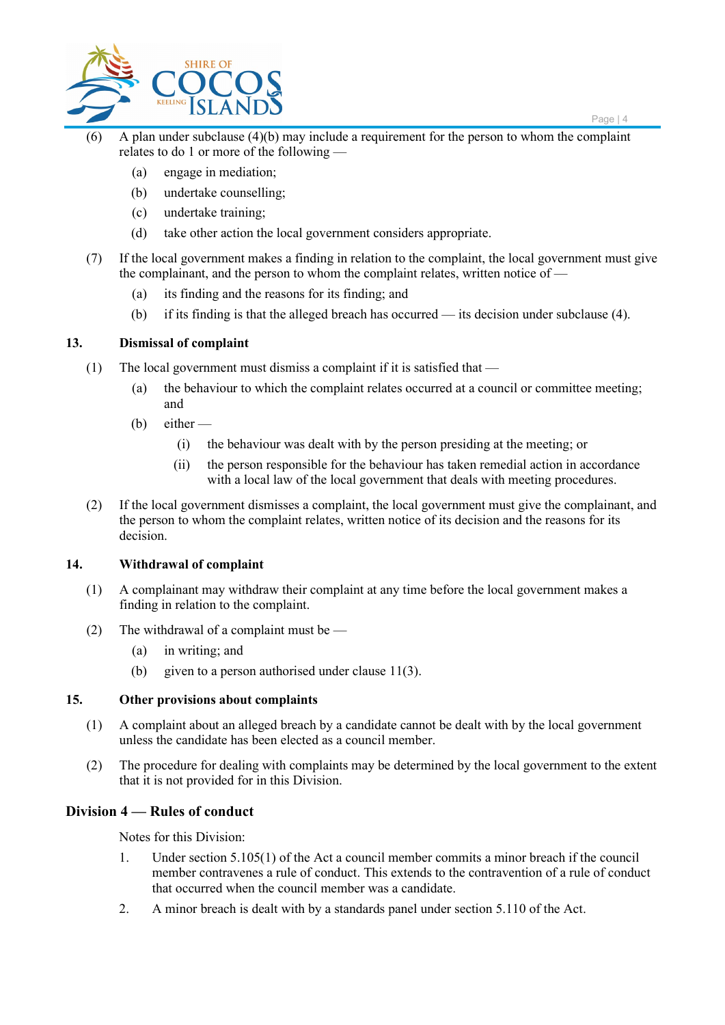

- A plan under subclause  $(4)(b)$  may include a requirement for the person to whom the complaint relates to do 1 or more of the following —
	- (a) engage in mediation;
	- (b) undertake counselling;
	- (c) undertake training;
	- (d) take other action the local government considers appropriate.
- (7) If the local government makes a finding in relation to the complaint, the local government must give the complainant, and the person to whom the complaint relates, written notice of —
	- (a) its finding and the reasons for its finding; and
	- (b) if its finding is that the alleged breach has occurred its decision under subclause (4).

# **13. Dismissal of complaint**

- (1) The local government must dismiss a complaint if it is satisfied that
	- (a) the behaviour to which the complaint relates occurred at a council or committee meeting; and
	- (b) either  $-$ 
		- (i) the behaviour was dealt with by the person presiding at the meeting; or
		- (ii) the person responsible for the behaviour has taken remedial action in accordance with a local law of the local government that deals with meeting procedures.
- (2) If the local government dismisses a complaint, the local government must give the complainant, and the person to whom the complaint relates, written notice of its decision and the reasons for its decision.

# **14. Withdrawal of complaint**

- (1) A complainant may withdraw their complaint at any time before the local government makes a finding in relation to the complaint.
- (2) The withdrawal of a complaint must be
	- (a) in writing; and
	- (b) given to a person authorised under clause 11(3).

# **15. Other provisions about complaints**

- (1) A complaint about an alleged breach by a candidate cannot be dealt with by the local government unless the candidate has been elected as a council member.
- (2) The procedure for dealing with complaints may be determined by the local government to the extent that it is not provided for in this Division.

# **Division 4 — Rules of conduct**

Notes for this Division:

- 1. Under section 5.105(1) of the Act a council member commits a minor breach if the council member contravenes a rule of conduct. This extends to the contravention of a rule of conduct that occurred when the council member was a candidate.
- 2. A minor breach is dealt with by a standards panel under section 5.110 of the Act.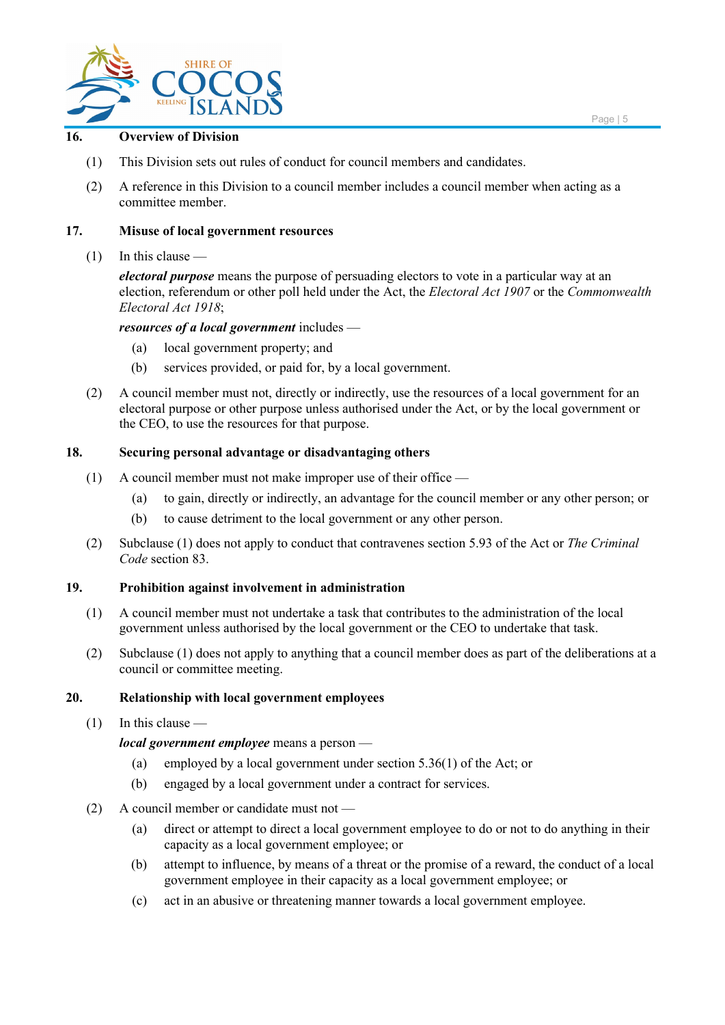

# **16. Overview of Division**

- (1) This Division sets out rules of conduct for council members and candidates.
- (2) A reference in this Division to a council member includes a council member when acting as a committee member.

#### **17. Misuse of local government resources**

#### $(1)$  In this clause —

*electoral purpose* means the purpose of persuading electors to vote in a particular way at an election, referendum or other poll held under the Act, the *Electoral Act 1907* or the *Commonwealth Electoral Act 1918*;

# *resources of a local government* includes —

- (a) local government property; and
- (b) services provided, or paid for, by a local government.
- (2) A council member must not, directly or indirectly, use the resources of a local government for an electoral purpose or other purpose unless authorised under the Act, or by the local government or the CEO, to use the resources for that purpose.

# **18. Securing personal advantage or disadvantaging others**

- (1) A council member must not make improper use of their office
	- (a) to gain, directly or indirectly, an advantage for the council member or any other person; or
	- (b) to cause detriment to the local government or any other person.
- (2) Subclause (1) does not apply to conduct that contravenes section 5.93 of the Act or *The Criminal Code* section 83.

# **19. Prohibition against involvement in administration**

- (1) A council member must not undertake a task that contributes to the administration of the local government unless authorised by the local government or the CEO to undertake that task.
- (2) Subclause (1) does not apply to anything that a council member does as part of the deliberations at a council or committee meeting.

#### **20. Relationship with local government employees**

(1) In this clause —

*local government employee* means a person —

- (a) employed by a local government under section 5.36(1) of the Act; or
- (b) engaged by a local government under a contract for services.
- (2) A council member or candidate must not
	- (a) direct or attempt to direct a local government employee to do or not to do anything in their capacity as a local government employee; or
	- (b) attempt to influence, by means of a threat or the promise of a reward, the conduct of a local government employee in their capacity as a local government employee; or
	- (c) act in an abusive or threatening manner towards a local government employee.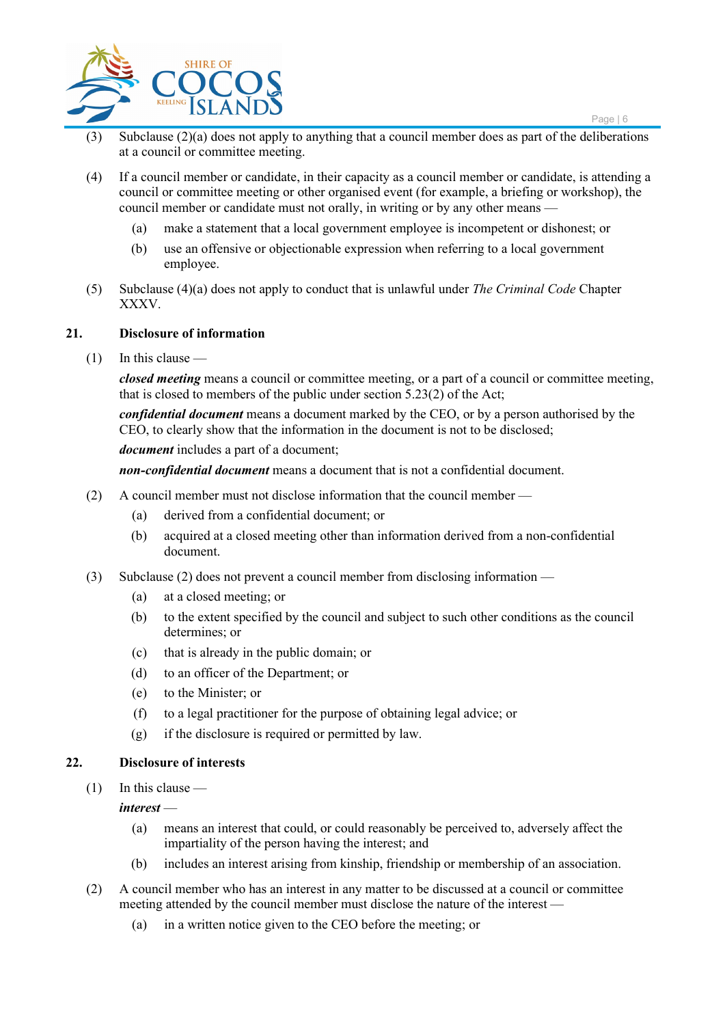

- Subclause  $(2)(a)$  does not apply to anything that a council member does as part of the deliberations at a council or committee meeting.
- (4) If a council member or candidate, in their capacity as a council member or candidate, is attending a council or committee meeting or other organised event (for example, a briefing or workshop), the council member or candidate must not orally, in writing or by any other means —
	- (a) make a statement that a local government employee is incompetent or dishonest; or
	- (b) use an offensive or objectionable expression when referring to a local government employee.
- (5) Subclause (4)(a) does not apply to conduct that is unlawful under *The Criminal Code* Chapter XXXV.

# **21. Disclosure of information**

(1) In this clause —

*closed meeting* means a council or committee meeting, or a part of a council or committee meeting, that is closed to members of the public under section 5.23(2) of the Act;

*confidential document* means a document marked by the CEO, or by a person authorised by the CEO, to clearly show that the information in the document is not to be disclosed;

*document* includes a part of a document;

*non-confidential document* means a document that is not a confidential document.

- (2) A council member must not disclose information that the council member
	- (a) derived from a confidential document; or
	- (b) acquired at a closed meeting other than information derived from a non-confidential document.
- (3) Subclause (2) does not prevent a council member from disclosing information
	- (a) at a closed meeting; or
	- (b) to the extent specified by the council and subject to such other conditions as the council determines; or
	- (c) that is already in the public domain; or
	- (d) to an officer of the Department; or
	- (e) to the Minister; or
	- (f) to a legal practitioner for the purpose of obtaining legal advice; or
	- (g) if the disclosure is required or permitted by law.

# **22. Disclosure of interests**

(1) In this clause —

*interest* —

- (a) means an interest that could, or could reasonably be perceived to, adversely affect the impartiality of the person having the interest; and
- (b) includes an interest arising from kinship, friendship or membership of an association.
- (2) A council member who has an interest in any matter to be discussed at a council or committee meeting attended by the council member must disclose the nature of the interest —
	- (a) in a written notice given to the CEO before the meeting; or